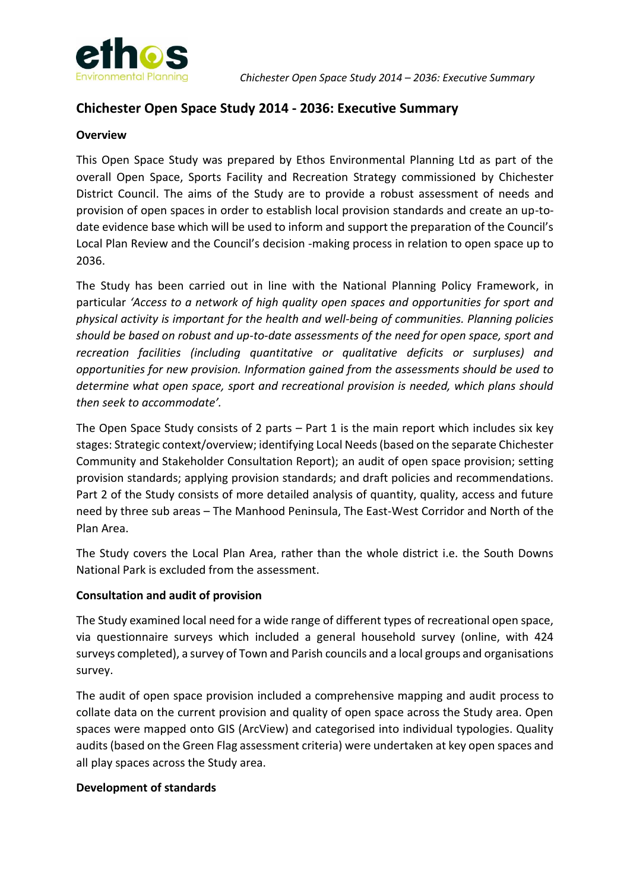

# **Chichester Open Space Study 2014 - 2036: Executive Summary**

#### **Overview**

This Open Space Study was prepared by Ethos Environmental Planning Ltd as part of the overall Open Space, Sports Facility and Recreation Strategy commissioned by Chichester District Council. The aims of the Study are to provide a robust assessment of needs and provision of open spaces in order to establish local provision standards and create an up-todate evidence base which will be used to inform and support the preparation of the Council's Local Plan Review and the Council's decision -making process in relation to open space up to 2036.

The Study has been carried out in line with the National Planning Policy Framework, in particular *'Access to a network of high quality open spaces and opportunities for sport and physical activity is important for the health and well-being of communities. Planning policies should be based on robust and up-to-date assessments of the need for open space, sport and recreation facilities (including quantitative or qualitative deficits or surpluses) and opportunities for new provision. Information gained from the assessments should be used to determine what open space, sport and recreational provision is needed, which plans should then seek to accommodate'.*

The Open Space Study consists of 2 parts – Part 1 is the main report which includes six key stages: Strategic context/overview; identifying Local Needs (based on the separate Chichester Community and Stakeholder Consultation Report); an audit of open space provision; setting provision standards; applying provision standards; and draft policies and recommendations. Part 2 of the Study consists of more detailed analysis of quantity, quality, access and future need by three sub areas – The Manhood Peninsula, The East-West Corridor and North of the Plan Area.

The Study covers the Local Plan Area, rather than the whole district i.e. the South Downs National Park is excluded from the assessment.

### **Consultation and audit of provision**

The Study examined local need for a wide range of different types of recreational open space, via questionnaire surveys which included a general household survey (online, with 424 surveys completed), a survey of Town and Parish councils and a local groups and organisations survey.

The audit of open space provision included a comprehensive mapping and audit process to collate data on the current provision and quality of open space across the Study area. Open spaces were mapped onto GIS (ArcView) and categorised into individual typologies. Quality audits (based on the Green Flag assessment criteria) were undertaken at key open spaces and all play spaces across the Study area.

### **Development of standards**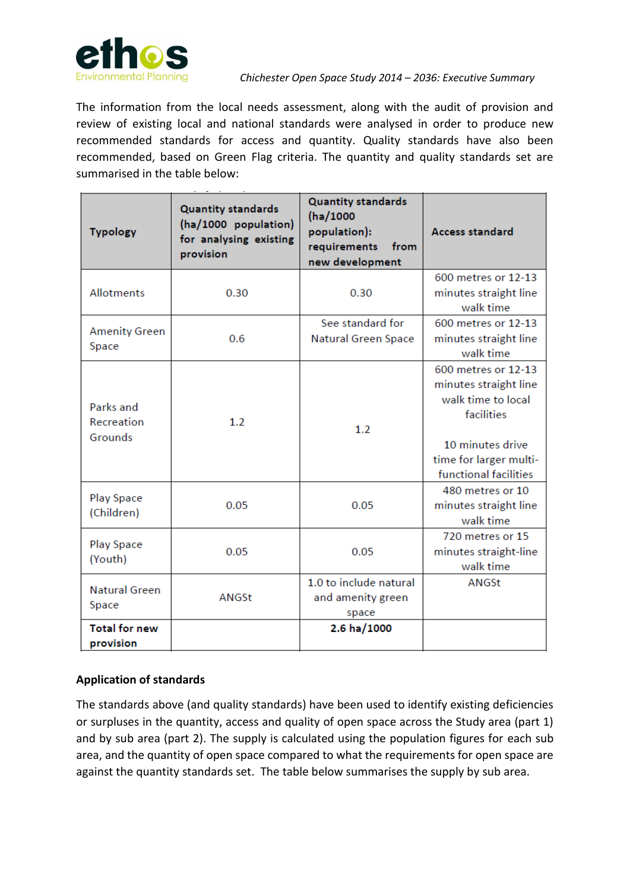

#### *Chichester Open Space Study 2014 – 2036: Executive Summary*

The information from the local needs assessment, along with the audit of provision and review of existing local and national standards were analysed in order to produce new recommended standards for access and quantity. Quality standards have also been recommended, based on Green Flag criteria. The quantity and quality standards set are summarised in the table below:

| <b>Typology</b>                    | <b>Quantity standards</b><br>(ha/1000 population)<br>for analysing existing<br>provision | <b>Quantity standards</b><br>(ha/1000<br>population):<br>requirements<br>from<br>new development | Access standard                                                                                                                                         |  |
|------------------------------------|------------------------------------------------------------------------------------------|--------------------------------------------------------------------------------------------------|---------------------------------------------------------------------------------------------------------------------------------------------------------|--|
| <b>Allotments</b>                  | 0.30                                                                                     | 0.30                                                                                             | 600 metres or 12-13<br>minutes straight line<br>walk time                                                                                               |  |
| <b>Amenity Green</b><br>Space      | 0.6                                                                                      | See standard for<br><b>Natural Green Space</b>                                                   | 600 metres or 12-13<br>minutes straight line<br>walk time                                                                                               |  |
| Parks and<br>Recreation<br>Grounds | 1.2                                                                                      | 1.2                                                                                              | 600 metres or 12-13<br>minutes straight line<br>walk time to local<br>facilities<br>10 minutes drive<br>time for larger multi-<br>functional facilities |  |
| Play Space<br>(Children)           | 0.05                                                                                     | 0.05                                                                                             | 480 metres or 10<br>minutes straight line<br>walk time                                                                                                  |  |
| Play Space<br>(Youth)              | 0.05                                                                                     | 0.05                                                                                             | 720 metres or 15<br>minutes straight-line<br>walk time                                                                                                  |  |
| <b>Natural Green</b><br>Space      | ANGSt                                                                                    | 1.0 to include natural<br>and amenity green<br>space                                             | ANGSt                                                                                                                                                   |  |
| <b>Total for new</b><br>provision  |                                                                                          | 2.6 ha/1000                                                                                      |                                                                                                                                                         |  |

## **Application of standards**

The standards above (and quality standards) have been used to identify existing deficiencies or surpluses in the quantity, access and quality of open space across the Study area (part 1) and by sub area (part 2). The supply is calculated using the population figures for each sub area, and the quantity of open space compared to what the requirements for open space are against the quantity standards set. The table below summarises the supply by sub area.